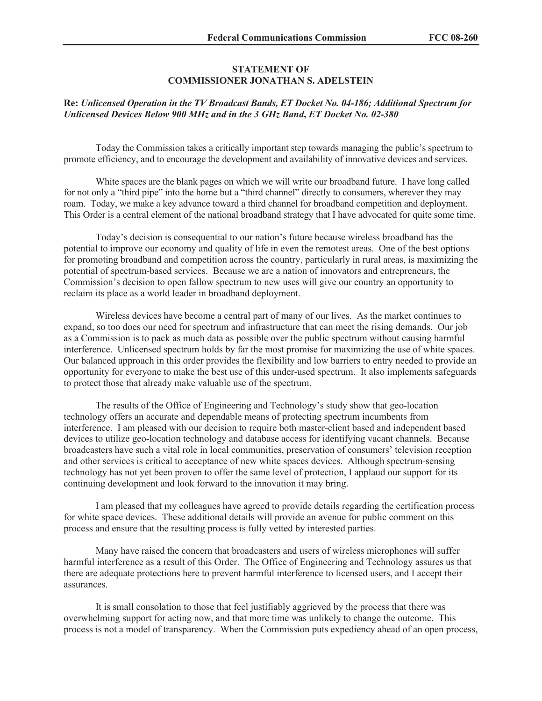## **STATEMENT OF COMMISSIONER JONATHAN S. ADELSTEIN**

## **Re:** *Unlicensed Operation in the TV Broadcast Bands, ET Docket No. 04-186; Additional Spectrum for Unlicensed Devices Below 900 MHz and in the 3 GHz Band***,** *ET Docket No. 02-380*

Today the Commission takes a critically important step towards managing the public's spectrum to promote efficiency, and to encourage the development and availability of innovative devices and services.

White spaces are the blank pages on which we will write our broadband future. I have long called for not only a "third pipe" into the home but a "third channel" directly to consumers, wherever they may roam. Today, we make a key advance toward a third channel for broadband competition and deployment. This Order is a central element of the national broadband strategy that I have advocated for quite some time.

Today's decision is consequential to our nation's future because wireless broadband has the potential to improve our economy and quality of life in even the remotest areas. One of the best options for promoting broadband and competition across the country, particularly in rural areas, is maximizing the potential of spectrum-based services. Because we are a nation of innovators and entrepreneurs, the Commission's decision to open fallow spectrum to new uses will give our country an opportunity to reclaim its place as a world leader in broadband deployment.

Wireless devices have become a central part of many of our lives. As the market continues to expand, so too does our need for spectrum and infrastructure that can meet the rising demands. Our job as a Commission is to pack as much data as possible over the public spectrum without causing harmful interference. Unlicensed spectrum holds by far the most promise for maximizing the use of white spaces. Our balanced approach in this order provides the flexibility and low barriers to entry needed to provide an opportunity for everyone to make the best use of this under-used spectrum. It also implements safeguards to protect those that already make valuable use of the spectrum.

The results of the Office of Engineering and Technology's study show that geo-location technology offers an accurate and dependable means of protecting spectrum incumbents from interference. I am pleased with our decision to require both master-client based and independent based devices to utilize geo-location technology and database access for identifying vacant channels. Because broadcasters have such a vital role in local communities, preservation of consumers' television reception and other services is critical to acceptance of new white spaces devices. Although spectrum-sensing technology has not yet been proven to offer the same level of protection, I applaud our support for its continuing development and look forward to the innovation it may bring.

I am pleased that my colleagues have agreed to provide details regarding the certification process for white space devices. These additional details will provide an avenue for public comment on this process and ensure that the resulting process is fully vetted by interested parties.

Many have raised the concern that broadcasters and users of wireless microphones will suffer harmful interference as a result of this Order. The Office of Engineering and Technology assures us that there are adequate protections here to prevent harmful interference to licensed users, and I accept their assurances.

It is small consolation to those that feel justifiably aggrieved by the process that there was overwhelming support for acting now, and that more time was unlikely to change the outcome. This process is not a model of transparency. When the Commission puts expediency ahead of an open process,